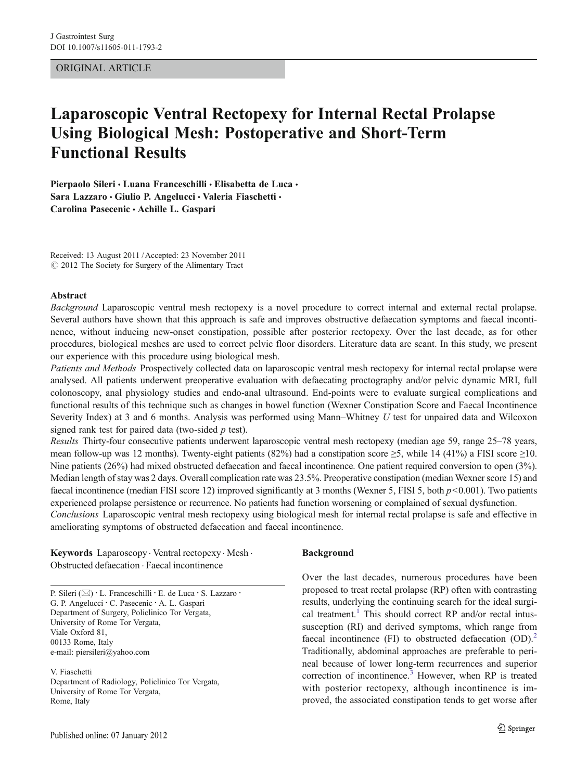# ORIGINAL ARTICLE

# Laparoscopic Ventral Rectopexy for Internal Rectal Prolapse Using Biological Mesh: Postoperative and Short-Term Functional Results

Pierpaolo Sileri · Luana Franceschilli · Elisabetta de Luca · Sara Lazzaro · Giulio P. Angelucci · Valeria Fiaschetti · Carolina Pasecenic & Achille L. Gaspari

Received: 13 August 2011 /Accepted: 23 November 2011  $\odot$  2012 The Society for Surgery of the Alimentary Tract

#### Abstract

Background Laparoscopic ventral mesh rectopexy is a novel procedure to correct internal and external rectal prolapse. Several authors have shown that this approach is safe and improves obstructive defaecation symptoms and faecal incontinence, without inducing new-onset constipation, possible after posterior rectopexy. Over the last decade, as for other procedures, biological meshes are used to correct pelvic floor disorders. Literature data are scant. In this study, we present our experience with this procedure using biological mesh.

Patients and Methods Prospectively collected data on laparoscopic ventral mesh rectopexy for internal rectal prolapse were analysed. All patients underwent preoperative evaluation with defaecating proctography and/or pelvic dynamic MRI, full colonoscopy, anal physiology studies and endo-anal ultrasound. End-points were to evaluate surgical complications and functional results of this technique such as changes in bowel function (Wexner Constipation Score and Faecal Incontinence Severity Index) at 3 and 6 months. Analysis was performed using Mann–Whitney U test for unpaired data and Wilcoxon signed rank test for paired data (two-sided  $p$  test).

Results Thirty-four consecutive patients underwent laparoscopic ventral mesh rectopexy (median age 59, range 25–78 years, mean follow-up was 12 months). Twenty-eight patients (82%) had a constipation score  $\geq$ 5, while 14 (41%) a FISI score  $\geq$ 10. Nine patients (26%) had mixed obstructed defaecation and faecal incontinence. One patient required conversion to open (3%). Median length of stay was 2 days. Overall complication rate was 23.5%. Preoperative constipation (median Wexner score 15) and faecal incontinence (median FISI score 12) improved significantly at 3 months (Wexner 5, FISI 5, both  $p<0.001$ ). Two patients experienced prolapse persistence or recurrence. No patients had function worsening or complained of sexual dysfunction.

Conclusions Laparoscopic ventral mesh rectopexy using biological mesh for internal rectal prolapse is safe and effective in ameliorating symptoms of obstructed defaecation and faecal incontinence.

Keywords Laparoscopy . Ventral rectopexy . Mesh . Obstructed defaecation . Faecal incontinence

P. Sileri (⊠) · L. Franceschilli · E. de Luca · S. Lazzaro · G. P. Angelucci : C. Pasecenic : A. L. Gaspari Department of Surgery, Policlinico Tor Vergata, University of Rome Tor Vergata, Viale Oxford 81, 00133 Rome, Italy e-mail: piersileri@yahoo.com

V. Fiaschetti Department of Radiology, Policlinico Tor Vergata, University of Rome Tor Vergata, Rome, Italy

#### Background

Over the last decades, numerous procedures have been proposed to treat rectal prolapse (RP) often with contrasting results, underlying the continuing search for the ideal surgi-cal treatment.<sup>[1](#page-5-0)</sup> This should correct RP and/or rectal intussusception (RI) and derived symptoms, which range from faecal incontinence (FI) to obstructed defaecation  $(OD).<sup>2</sup>$  $(OD).<sup>2</sup>$  $(OD).<sup>2</sup>$ Traditionally, abdominal approaches are preferable to perineal because of lower long-term recurrences and superior correction of incontinence.<sup>[3](#page-5-0)</sup> However, when RP is treated with posterior rectopexy, although incontinence is improved, the associated constipation tends to get worse after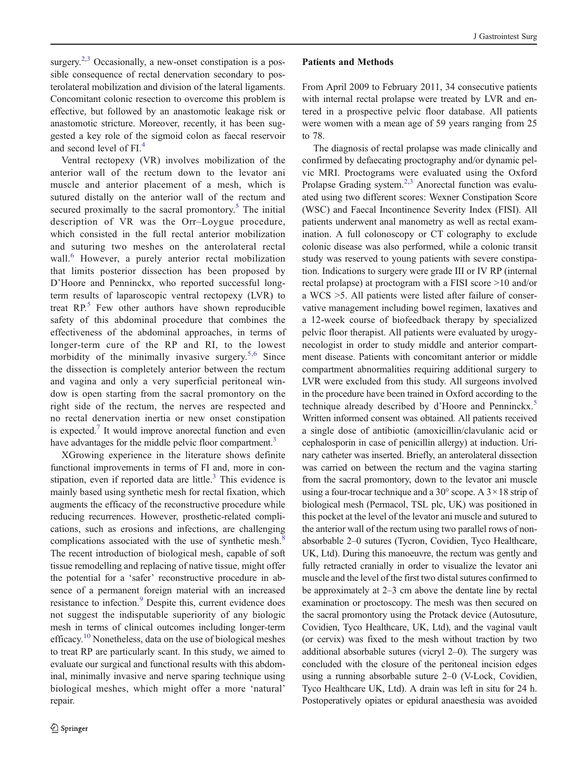surgery.<sup>[2,3](#page-5-0)</sup> Occasionally, a new-onset constipation is a possible consequence of rectal denervation secondary to posterolateral mobilization and division of the lateral ligaments. Concomitant colonic resection to overcome this problem is effective, but followed by an anastomotic leakage risk or anastomotic stricture. Moreover, recently, it has been suggested a key role of the sigmoid colon as faecal reservoir and second level of FI.<sup>[4](#page-5-0)</sup>

Ventral rectopexy (VR) involves mobilization of the anterior wall of the rectum down to the levator ani muscle and anterior placement of a mesh, which is sutured distally on the anterior wall of the rectum and secured proximally to the sacral promontory. $5$  The initial description of VR was the Orr–Loygue procedure, which consisted in the full rectal anterior mobilization and suturing two meshes on the anterolateral rectal wall.<sup>[6](#page-5-0)</sup> However, a purely anterior rectal mobilization that limits posterior dissection has been proposed by D'Hoore and Penninckx, who reported successful longterm results of laparoscopic ventral rectopexy (LVR) to treat  $RP^5$  $RP^5$ . Few other authors have shown reproducible safety of this abdominal procedure that combines the effectiveness of the abdominal approaches, in terms of longer-term cure of the RP and RI, to the lowest morbidity of the minimally invasive surgery.<sup>[5,6](#page-5-0)</sup> Since the dissection is completely anterior between the rectum and vagina and only a very superficial peritoneal window is open starting from the sacral promontory on the right side of the rectum, the nerves are respected and no rectal denervation inertia or new onset constipation is expected.<sup>[7](#page-5-0)</sup> It would improve anorectal function and even have advantages for the middle pelvic floor compartment.<sup>3</sup>

XGrowing experience in the literature shows definite functional improvements in terms of FI and, more in constipation, even if reported data are little. $3$  This evidence is mainly based using synthetic mesh for rectal fixation, which augments the efficacy of the reconstructive procedure while reducing recurrences. However, prosthetic-related complications, such as erosions and infections, are challenging complications associated with the use of synthetic mesh.<sup>[8](#page-5-0)</sup> The recent introduction of biological mesh, capable of soft tissue remodelling and replacing of native tissue, might offer the potential for a 'safer' reconstructive procedure in absence of a permanent foreign material with an increased resistance to infection.<sup>[9](#page-5-0)</sup> Despite this, current evidence does not suggest the indisputable superiority of any biologic mesh in terms of clinical outcomes including longer-term efficacy.[10](#page-5-0) Nonetheless, data on the use of biological meshes to treat RP are particularly scant. In this study, we aimed to evaluate our surgical and functional results with this abdominal, minimally invasive and nerve sparing technique using biological meshes, which might offer a more 'natural' repair.

## Patients and Methods

From April 2009 to February 2011, 34 consecutive patients with internal rectal prolapse were treated by LVR and entered in a prospective pelvic floor database. All patients were women with a mean age of 59 years ranging from 25 to 78.

The diagnosis of rectal prolapse was made clinically and confirmed by defaecating proctography and/or dynamic pelvic MRI. Proctograms were evaluated using the Oxford Prolapse Grading system.<sup>[2](#page-5-0),[3](#page-5-0)</sup> Anorectal function was evaluated using two different scores: Wexner Constipation Score (WSC) and Faecal Incontinence Severity Index (FISI). All patients underwent anal manometry as well as rectal examination. A full colonoscopy or CT colography to exclude colonic disease was also performed, while a colonic transit study was reserved to young patients with severe constipation. Indications to surgery were grade III or IV RP (internal rectal prolapse) at proctogram with a FISI score >10 and/or a WCS >5. All patients were listed after failure of conservative management including bowel regimen, laxatives and a 12-week course of biofeedback therapy by specialized pelvic floor therapist. All patients were evaluated by urogynecologist in order to study middle and anterior compartment disease. Patients with concomitant anterior or middle compartment abnormalities requiring additional surgery to LVR were excluded from this study. All surgeons involved in the procedure have been trained in Oxford according to the technique already described by d'Hoore and Penninckx.<sup>[5](#page-5-0)</sup> Written informed consent was obtained. All patients received a single dose of antibiotic (amoxicillin/clavulanic acid or cephalosporin in case of penicillin allergy) at induction. Urinary catheter was inserted. Briefly, an anterolateral dissection was carried on between the rectum and the vagina starting from the sacral promontory, down to the levator ani muscle using a four-trocar technique and a 30 $\degree$  scope. A 3  $\times$  18 strip of biological mesh (Permacol, TSL plc, UK) was positioned in this pocket at the level of the levator ani muscle and sutured to the anterior wall of the rectum using two parallel rows of nonabsorbable 2–0 sutures (Tycron, Covidien, Tyco Healthcare, UK, Ltd). During this manoeuvre, the rectum was gently and fully retracted cranially in order to visualize the levator ani muscle and the level of the first two distal sutures confirmed to be approximately at 2–3 cm above the dentate line by rectal examination or proctoscopy. The mesh was then secured on the sacral promontory using the Protack device (Autosuture, Covidien, Tyco Healthcare, UK, Ltd), and the vaginal vault (or cervix) was fixed to the mesh without traction by two additional absorbable sutures (vicryl 2–0). The surgery was concluded with the closure of the peritoneal incision edges using a running absorbable suture 2–0 (V-Lock, Covidien, Tyco Healthcare UK, Ltd). A drain was left in situ for 24 h. Postoperatively opiates or epidural anaesthesia was avoided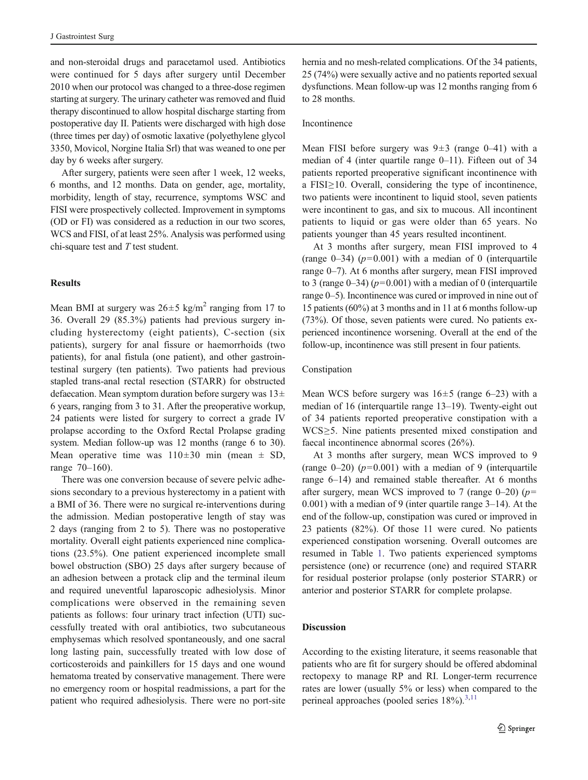and non-steroidal drugs and paracetamol used. Antibiotics were continued for 5 days after surgery until December 2010 when our protocol was changed to a three-dose regimen starting at surgery. The urinary catheter was removed and fluid therapy discontinued to allow hospital discharge starting from postoperative day II. Patients were discharged with high dose (three times per day) of osmotic laxative (polyethylene glycol 3350, Movicol, Norgine Italia Srl) that was weaned to one per day by 6 weeks after surgery.

After surgery, patients were seen after 1 week, 12 weeks, 6 months, and 12 months. Data on gender, age, mortality, morbidity, length of stay, recurrence, symptoms WSC and FISI were prospectively collected. Improvement in symptoms (OD or FI) was considered as a reduction in our two scores, WCS and FISI, of at least 25%. Analysis was performed using chi-square test and T test student.

## **Results**

Mean BMI at surgery was  $26 \pm 5$  kg/m<sup>2</sup> ranging from 17 to 36. Overall 29 (85.3%) patients had previous surgery including hysterectomy (eight patients), C-section (six patients), surgery for anal fissure or haemorrhoids (two patients), for anal fistula (one patient), and other gastrointestinal surgery (ten patients). Two patients had previous stapled trans-anal rectal resection (STARR) for obstructed defaecation. Mean symptom duration before surgery was  $13\pm$ 6 years, ranging from 3 to 31. After the preoperative workup, 24 patients were listed for surgery to correct a grade IV prolapse according to the Oxford Rectal Prolapse grading system. Median follow-up was 12 months (range 6 to 30). Mean operative time was  $110\pm30$  min (mean  $\pm$  SD, range 70–160).

There was one conversion because of severe pelvic adhesions secondary to a previous hysterectomy in a patient with a BMI of 36. There were no surgical re-interventions during the admission. Median postoperative length of stay was 2 days (ranging from 2 to 5). There was no postoperative mortality. Overall eight patients experienced nine complications (23.5%). One patient experienced incomplete small bowel obstruction (SBO) 25 days after surgery because of an adhesion between a protack clip and the terminal ileum and required uneventful laparoscopic adhesiolysis. Minor complications were observed in the remaining seven patients as follows: four urinary tract infection (UTI) successfully treated with oral antibiotics, two subcutaneous emphysemas which resolved spontaneously, and one sacral long lasting pain, successfully treated with low dose of corticosteroids and painkillers for 15 days and one wound hematoma treated by conservative management. There were no emergency room or hospital readmissions, a part for the patient who required adhesiolysis. There were no port-site

hernia and no mesh-related complications. Of the 34 patients, 25 (74%) were sexually active and no patients reported sexual dysfunctions. Mean follow-up was 12 months ranging from 6 to 28 months.

## Incontinence

Mean FISI before surgery was  $9±3$  (range 0–41) with a median of 4 (inter quartile range 0–11). Fifteen out of 34 patients reported preoperative significant incontinence with a FISI≥10. Overall, considering the type of incontinence, two patients were incontinent to liquid stool, seven patients were incontinent to gas, and six to mucous. All incontinent patients to liquid or gas were older than 65 years. No patients younger than 45 years resulted incontinent.

At 3 months after surgery, mean FISI improved to 4 (range  $0-34$ ) ( $p=0.001$ ) with a median of 0 (interquartile range 0–7). At 6 months after surgery, mean FISI improved to 3 (range  $0-34$ ) ( $p=0.001$ ) with a median of 0 (interquartile range 0–5). Incontinence was cured or improved in nine out of 15 patients (60%) at 3 months and in 11 at 6 months follow-up (73%). Of those, seven patients were cured. No patients experienced incontinence worsening. Overall at the end of the follow-up, incontinence was still present in four patients.

## Constipation

Mean WCS before surgery was  $16±5$  (range 6–23) with a median of 16 (interquartile range 13–19). Twenty-eight out of 34 patients reported preoperative constipation with a WCS≥5. Nine patients presented mixed constipation and faecal incontinence abnormal scores (26%).

At 3 months after surgery, mean WCS improved to 9 (range  $0-20$ ) ( $p=0.001$ ) with a median of 9 (interquartile range 6–14) and remained stable thereafter. At 6 months after surgery, mean WCS improved to 7 (range 0–20) ( $p=$ 0.001) with a median of 9 (inter quartile range 3–14). At the end of the follow-up, constipation was cured or improved in 23 patients (82%). Of those 11 were cured. No patients experienced constipation worsening. Overall outcomes are resumed in Table [1](#page-3-0). Two patients experienced symptoms persistence (one) or recurrence (one) and required STARR for residual posterior prolapse (only posterior STARR) or anterior and posterior STARR for complete prolapse.

## Discussion

According to the existing literature, it seems reasonable that patients who are fit for surgery should be offered abdominal rectopexy to manage RP and RI. Longer-term recurrence rates are lower (usually 5% or less) when compared to the perineal approaches (pooled series  $18\%$ ).<sup>[3](#page-5-0)[,11](#page-6-0)</sup>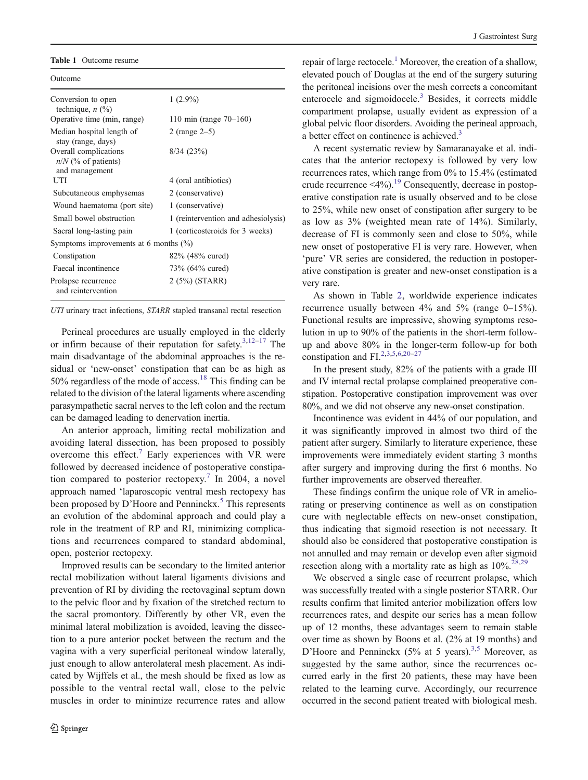#### <span id="page-3-0"></span>Table 1 Outcome resume

Outcome

| Conversion to open<br>technique, $n$ $(\%)$                      | $1(2.9\%)$                          |
|------------------------------------------------------------------|-------------------------------------|
| Operative time (min, range)                                      | 110 min (range $70 - 160$ )         |
| Median hospital length of<br>stay (range, days)                  | 2 (range $2-5$ )                    |
| Overall complications<br>$n/N$ (% of patients)<br>and management | 8/34(23%)                           |
| UTI                                                              | 4 (oral antibiotics)                |
| Subcutaneous emphysemas                                          | 2 (conservative)                    |
| Wound haematoma (port site)                                      | 1 (conservative)                    |
| Small bowel obstruction                                          | 1 (reintervention and adhesiolysis) |
| Sacral long-lasting pain                                         | 1 (corticosteroids for 3 weeks)     |
| Symptoms improvements at 6 months $(\%)$                         |                                     |
| Constipation                                                     | 82\% (48\% cured)                   |
| Faecal incontinence                                              | 73\% (64\% cured)                   |
| Prolapse recurrence<br>and reintervention                        | $2(5%)$ (STARR)                     |
|                                                                  |                                     |

UTI urinary tract infections, STARR stapled transanal rectal resection

Perineal procedures are usually employed in the elderly or infirm because of their reputation for safety. $3,12-17$  $3,12-17$  $3,12-17$  $3,12-17$  The main disadvantage of the abdominal approaches is the residual or 'new-onset' constipation that can be as high as 50% regardless of the mode of access.<sup>[18](#page-6-0)</sup> This finding can be related to the division of the lateral ligaments where ascending parasympathetic sacral nerves to the left colon and the rectum can be damaged leading to denervation inertia.

An anterior approach, limiting rectal mobilization and avoiding lateral dissection, has been proposed to possibly overcome this effect.<sup>[7](#page-5-0)</sup> Early experiences with VR were followed by decreased incidence of postoperative constipa-tion compared to posterior rectopexy.<sup>[7](#page-5-0)</sup> In 2004, a novel approach named 'laparoscopic ventral mesh rectopexy has been proposed by D'Hoore and Penninckx.<sup>[5](#page-5-0)</sup> This represents an evolution of the abdominal approach and could play a role in the treatment of RP and RI, minimizing complications and recurrences compared to standard abdominal, open, posterior rectopexy.

Improved results can be secondary to the limited anterior rectal mobilization without lateral ligaments divisions and prevention of RI by dividing the rectovaginal septum down to the pelvic floor and by fixation of the stretched rectum to the sacral promontory. Differently by other VR, even the minimal lateral mobilization is avoided, leaving the dissection to a pure anterior pocket between the rectum and the vagina with a very superficial peritoneal window laterally, just enough to allow anterolateral mesh placement. As indicated by Wijffels et al., the mesh should be fixed as low as possible to the ventral rectal wall, close to the pelvic muscles in order to minimize recurrence rates and allow repair of large rectocele.<sup>1</sup> Moreover, the creation of a shallow, elevated pouch of Douglas at the end of the surgery suturing the peritoneal incisions over the mesh corrects a concomitant enterocele and sigmoidocele.<sup>[3](#page-5-0)</sup> Besides, it corrects middle compartment prolapse, usually evident as expression of a global pelvic floor disorders. Avoiding the perineal approach, a better effect on continence is achieved.<sup>[3](#page-5-0)</sup>

A recent systematic review by Samaranayake et al. indicates that the anterior rectopexy is followed by very low recurrences rates, which range from 0% to 15.4% (estimated crude recurrence  $\leq 4\%$ ).<sup>[19](#page-6-0)</sup> Consequently, decrease in postoperative constipation rate is usually observed and to be close to 25%, while new onset of constipation after surgery to be as low as 3% (weighted mean rate of 14%). Similarly, decrease of FI is commonly seen and close to 50%, while new onset of postoperative FI is very rare. However, when 'pure' VR series are considered, the reduction in postoperative constipation is greater and new-onset constipation is a very rare.

As shown in Table [2](#page-4-0), worldwide experience indicates recurrence usually between  $4\%$  and  $5\%$  (range  $0-15\%$ ). Functional results are impressive, showing symptoms resolution in up to 90% of the patients in the short-term followup and above 80% in the longer-term follow-up for both constipation and FI.<sup>[2,3,5,6](#page-5-0)[,20](#page-6-0)-[27](#page-6-0)</sup>

In the present study, 82% of the patients with a grade III and IV internal rectal prolapse complained preoperative constipation. Postoperative constipation improvement was over 80%, and we did not observe any new-onset constipation.

Incontinence was evident in 44% of our population, and it was significantly improved in almost two third of the patient after surgery. Similarly to literature experience, these improvements were immediately evident starting 3 months after surgery and improving during the first 6 months. No further improvements are observed thereafter.

These findings confirm the unique role of VR in ameliorating or preserving continence as well as on constipation cure with neglectable effects on new-onset constipation, thus indicating that sigmoid resection is not necessary. It should also be considered that postoperative constipation is not annulled and may remain or develop even after sigmoid resection along with a mortality rate as high as  $10\%^{28,29}$  $10\%^{28,29}$  $10\%^{28,29}$ .

We observed a single case of recurrent prolapse, which was successfully treated with a single posterior STARR. Our results confirm that limited anterior mobilization offers low recurrences rates, and despite our series has a mean follow up of 12 months, these advantages seem to remain stable over time as shown by Boons et al. (2% at 19 months) and D'Hoore and Penninckx  $(5\%$  at 5 years).<sup>[3,5](#page-5-0)</sup> Moreover, as suggested by the same author, since the recurrences occurred early in the first 20 patients, these may have been related to the learning curve. Accordingly, our recurrence occurred in the second patient treated with biological mesh.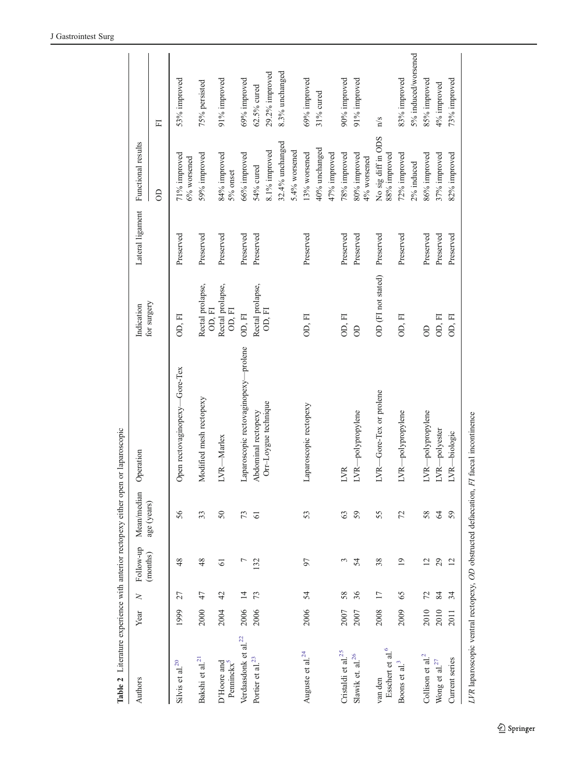<span id="page-4-0"></span>

| $4 \, \mathrm{m} \, \mathrm{m}$       |      |                 |                 |                 | where we will have a mode in the will have a more with the will be a more of the will be a more of the will be a more of the will be a more of the will be a more of the will be a more of the will be a more of the will be a |                            |                  |                                    |                     |
|---------------------------------------|------|-----------------|-----------------|-----------------|--------------------------------------------------------------------------------------------------------------------------------------------------------------------------------------------------------------------------------|----------------------------|------------------|------------------------------------|---------------------|
| Authors                               | Year | $\geq$          | Follow-up       | Mean/median     | Operation                                                                                                                                                                                                                      | Indication                 | Lateral ligament | Functional results                 |                     |
|                                       |      |                 | (months)        | age (years)     |                                                                                                                                                                                                                                | for surgery                |                  | $\Theta$                           | E                   |
| Silvis et al. $20$                    | 1999 | 27              | 48              | 56              | Open rectovaginopexy-Gore-Tex                                                                                                                                                                                                  | OD, FI                     | Preserved        | 71% improved<br>6% worsened        | 53% improved        |
| Bakshi et al. $^{21}$                 | 2000 | 47              | 48              | 33              | Modified mesh rectopexy                                                                                                                                                                                                        | Rectal prolapse,<br>OD, FI | Preserved        | 59% improved                       | 75% persisted       |
| D'Hoore and<br>Penninckx              | 2004 | 42              | $\overline{6}$  | 50              | LVR-Marlex                                                                                                                                                                                                                     | Rectal prolapse,<br>OD, FI | Preserved        | 84% improved<br>5% onset           | 91% improved        |
| Verdaasdonk et al. $^{22}$            | 2006 |                 | L               | 73              | Laparoscopic rectovaginopexy-prolene                                                                                                                                                                                           | OD, FI                     | Preserved        | 66% improved                       | $69\%$ improved     |
| Portier et al. <sup>23</sup>          | 2006 | 73              | 132             | $\overline{61}$ | Abdominal rectopexy                                                                                                                                                                                                            | Rectal prolapse,           | Preserved        | 54% cured                          | 62.5% cured         |
|                                       |      |                 |                 |                 | Orr-Loygue technique                                                                                                                                                                                                           | OD, FI                     |                  | 8.1% improved                      | 29.2% improved      |
|                                       |      |                 |                 |                 |                                                                                                                                                                                                                                |                            |                  | 32.4% unchanged                    | 8.3% unchanged      |
|                                       |      |                 |                 |                 |                                                                                                                                                                                                                                |                            |                  | 5.4% worsened                      |                     |
| Auguste et al. $^{24}$                | 2006 | 54              | 97              | 53              | Laparoscopic rectopexy                                                                                                                                                                                                         | OD, FI                     | Preserved        | 13% worsened                       | 69% improved        |
|                                       |      |                 |                 |                 |                                                                                                                                                                                                                                |                            |                  | 40% unchanged                      | 31% cured           |
|                                       |      |                 |                 |                 |                                                                                                                                                                                                                                |                            |                  | 47% improved                       |                     |
| Cristaldi et al. $25$                 | 2007 | 58              | $\mathfrak{c}$  | 63              | LVR                                                                                                                                                                                                                            | OD, FI                     | Preserved        | 78% improved                       | 90% improved        |
| Slawik et. al. <sup>26</sup>          | 2007 | 36              | 54              | 59              | LVR-polypropylene                                                                                                                                                                                                              | $\Theta$                   | Preserved        | 80% improved<br>4% worsened        | 91% improved        |
| Esschert et al. $^{\rm 6}$<br>van den | 2008 | $\overline{17}$ | 38              | 55              | LVR-Gore-Tex or prolene                                                                                                                                                                                                        | OD (FI not stated)         | Preserved        | No sig diff in ODS<br>88% improved | $\frac{1}{s}$       |
| Boons et al. <sup>3</sup>             | 2009 | 65              | $\overline{19}$ | 72              | LVR-polypropylene                                                                                                                                                                                                              | OD, FI                     | Preserved        | 72% improved                       | 83% improved        |
|                                       |      |                 |                 |                 |                                                                                                                                                                                                                                |                            |                  | 2% induced                         | 5% induced/worsened |
| Collison et al. $^{2}$                | 2010 | 72              | $\overline{c}$  | 58              | LVR-polypropylene                                                                                                                                                                                                              | $\Theta$                   | Preserved        | 86% improved                       | 85% improved        |
| Wong et al. $^{27}$                   | 2010 | 84              | 29              | 64              | LVR-polyester                                                                                                                                                                                                                  | OD, FI                     | Preserved        | 37% improved                       | 4% improved         |
| Current series                        | 2011 | 34              | 12              | 59              | LVR-biologic                                                                                                                                                                                                                   | OD, FI                     | Preserved        | 82% improved                       | 73% improved        |
|                                       |      |                 |                 |                 | LVR laparoscopic ventral rectopexy, OD obstructed defaecation, FI faecal incontinence                                                                                                                                          |                            |                  |                                    |                     |

**Table 2** Literature experience with anterior rectonexy either onen or laparoscomic Table 2 Literature experience with anterior rectopexy either open or laparoscopic

 $\underline{\textcircled{\tiny 2}}$  Springer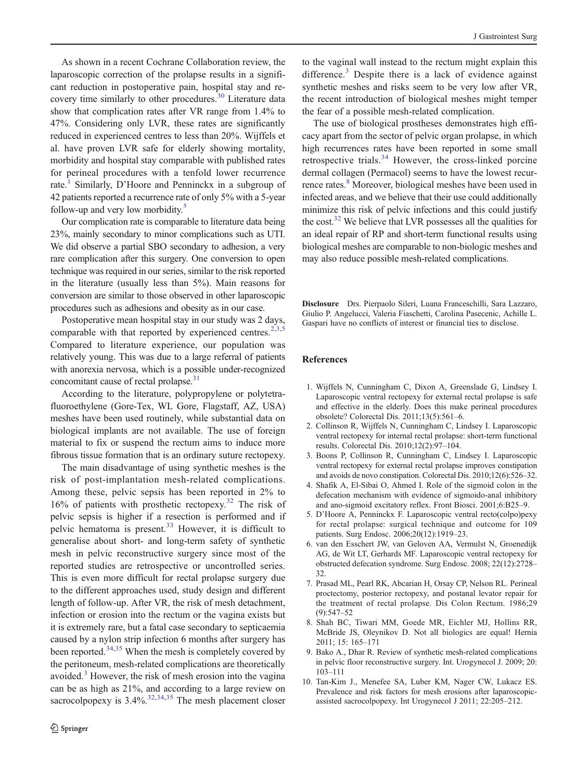<span id="page-5-0"></span>As shown in a recent Cochrane Collaboration review, the laparoscopic correction of the prolapse results in a significant reduction in postoperative pain, hospital stay and recovery time similarly to other procedures.[30](#page-6-0) Literature data show that complication rates after VR range from 1.4% to 47%. Considering only LVR, these rates are significantly reduced in experienced centres to less than 20%. Wijffels et al. have proven LVR safe for elderly showing mortality, morbidity and hospital stay comparable with published rates for perineal procedures with a tenfold lower recurrence rate.<sup>1</sup> Similarly, D'Hoore and Penninckx in a subgroup of 42 patients reported a recurrence rate of only 5% with a 5-year follow-up and very low morbidity.<sup>5</sup>

Our complication rate is comparable to literature data being 23%, mainly secondary to minor complications such as UTI. We did observe a partial SBO secondary to adhesion, a very rare complication after this surgery. One conversion to open technique was required in our series, similar to the risk reported in the literature (usually less than 5%). Main reasons for conversion are similar to those observed in other laparoscopic procedures such as adhesions and obesity as in our case.

Postoperative mean hospital stay in our study was 2 days, comparable with that reported by experienced centres.<sup>2,3,5</sup> Compared to literature experience, our population was relatively young. This was due to a large referral of patients with anorexia nervosa, which is a possible under-recognized concomitant cause of rectal prolapse.<sup>31</sup>

According to the literature, polypropylene or polytetrafluoroethylene (Gore-Tex, WL Gore, Flagstaff, AZ, USA) meshes have been used routinely, while substantial data on biological implants are not available. The use of foreign material to fix or suspend the rectum aims to induce more fibrous tissue formation that is an ordinary suture rectopexy.

The main disadvantage of using synthetic meshes is the risk of post-implantation mesh-related complications. Among these, pelvic sepsis has been reported in 2% to 16% of patients with prosthetic rectopexy.[32](#page-6-0) The risk of pelvic sepsis is higher if a resection is performed and if pelvic hematoma is present.[33](#page-6-0) However, it is difficult to generalise about short- and long-term safety of synthetic mesh in pelvic reconstructive surgery since most of the reported studies are retrospective or uncontrolled series. This is even more difficult for rectal prolapse surgery due to the different approaches used, study design and different length of follow-up. After VR, the risk of mesh detachment, infection or erosion into the rectum or the vagina exists but it is extremely rare, but a fatal case secondary to septicaemia caused by a nylon strip infection 6 months after surgery has been reported.<sup>[34,35](#page-6-0)</sup> When the mesh is completely covered by the peritoneum, mesh-related complications are theoretically avoided.<sup>3</sup> However, the risk of mesh erosion into the vagina can be as high as 21%, and according to a large review on sacrocolpopexy is  $3.4\%$ <sup>[32,34,35](#page-6-0)</sup> The mesh placement closer

to the vaginal wall instead to the rectum might explain this difference.<sup>3</sup> Despite there is a lack of evidence against synthetic meshes and risks seem to be very low after VR, the recent introduction of biological meshes might temper the fear of a possible mesh-related complication.

The use of biological prostheses demonstrates high efficacy apart from the sector of pelvic organ prolapse, in which high recurrences rates have been reported in some small retrospective trials.[34](#page-6-0) However, the cross-linked porcine dermal collagen (Permacol) seems to have the lowest recurrence rates.<sup>8</sup> Moreover, biological meshes have been used in infected areas, and we believe that their use could additionally minimize this risk of pelvic infections and this could justify the cost. $32$  We believe that LVR possesses all the qualities for an ideal repair of RP and short-term functional results using biological meshes are comparable to non-biologic meshes and may also reduce possible mesh-related complications.

Disclosure Drs. Pierpaolo Sileri, Luana Franceschilli, Sara Lazzaro, Giulio P. Angelucci, Valeria Fiaschetti, Carolina Pasecenic, Achille L. Gaspari have no conflicts of interest or financial ties to disclose.

## References

- 1. Wijffels N, Cunningham C, Dixon A, Greenslade G, Lindsey I. Laparoscopic ventral rectopexy for external rectal prolapse is safe and effective in the elderly. Does this make perineal procedures obsolete? Colorectal Dis. 2011;13(5):561–6.
- 2. Collinson R, Wijffels N, Cunningham C, Lindsey I. Laparoscopic ventral rectopexy for internal rectal prolapse: short-term functional results. Colorectal Dis. 2010;12(2):97–104.
- 3. Boons P, Collinson R, Cunningham C, Lindsey I. Laparoscopic ventral rectopexy for external rectal prolapse improves constipation and avoids de novo constipation. Colorectal Dis. 2010;12(6):526–32.
- 4. Shafik A, El-Sibai O, Ahmed I. Role of the sigmoid colon in the defecation mechanism with evidence of sigmoido-anal inhibitory and ano-sigmoid excitatory reflex. Front Biosci. 2001;6:B25–9.
- 5. D'Hoore A, Penninckx F. Laparoscopic ventral recto(colpo)pexy for rectal prolapse: surgical technique and outcome for 109 patients. Surg Endosc. 2006;20(12):1919–23.
- 6. van den Esschert JW, van Geloven AA, Vermulst N, Groenedijk AG, de Wit LT, Gerhards MF. Laparoscopic ventral rectopexy for obstructed defecation syndrome. Surg Endosc. 2008; 22(12):2728– 32.
- 7. Prasad ML, Pearl RK, Abcarian H, Orsay CP, Nelson RL. Perineal proctectomy, posterior rectopexy, and postanal levator repair for the treatment of rectal prolapse. Dis Colon Rectum. 1986;29 (9):547–52
- 8. Shah BC, Tiwari MM, Goede MR, Eichler MJ, Hollins RR, McBride JS, Oleynikov D. Not all biologics are equal! Hernia 2011; 15: 165–171
- 9. Bako A., Dhar R. Review of synthetic mesh-related complications in pelvic floor reconstructive surgery. Int. Urogynecol J. 2009; 20: 103–111
- 10. Tan-Kim J., Menefee SA, Luber KM, Nager CW, Lukacz ES. Prevalence and risk factors for mesh erosions after laparoscopicassisted sacrocolpopexy. Int Urogynecol J 2011; 22:205–212.